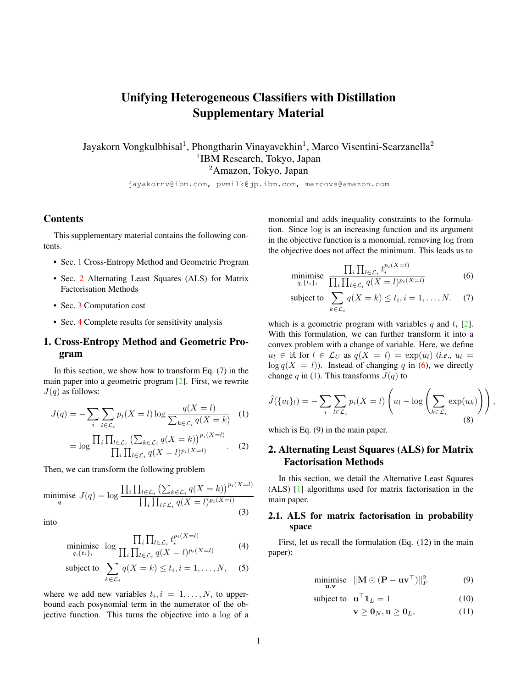# <span id="page-0-7"></span>Unifying Heterogeneous Classifiers with Distillation Supplementary Material

Jayakorn Vongkulbhisal<sup>1</sup>, Phongtharin Vinayavekhin<sup>1</sup>, Marco Visentini-Scarzanella<sup>2</sup> 1 IBM Research, Tokyo, Japan <sup>2</sup>Amazon, Tokyo, Japan

jayakornv@ibm.com, pvmilk@jp.ibm.com, marcovs@amazon.com

#### Contents

This supplementary material contains the following contents.

- Sec. [1](#page-0-0) Cross-Entropy Method and Geometric Program
- Sec. [2](#page-0-1) Alternating Least Squares (ALS) for Matrix Factorisation Methods
- Sec. [3](#page-1-0) Computation cost
- Sec. [4](#page-1-1) Complete results for sensitivity analysis

## <span id="page-0-0"></span>1. Cross-Entropy Method and Geometric Program

In this section, we show how to transform Eq. (7) in the main paper into a geometric program [\[2\]](#page-2-0). First, we rewrite  $J(q)$  as follows:

$$
J(q) = -\sum_{i} \sum_{l \in \mathcal{L}_i} p_i(X = l) \log \frac{q(X = l)}{\sum_{k \in \mathcal{L}_i} q(X = k)} \quad (1)
$$

$$
= \log \frac{\prod_{i} \prod_{l \in \mathcal{L}_i} \left( \sum_{k \in \mathcal{L}_i} q(X = k) \right)^{p_i(X = l)}}{\prod_{i} \prod_{l \in \mathcal{L}_i} q(X = l)^{p_i(X = l)}}. \tag{2}
$$

Then, we can transform the following problem

$$
\underset{q}{\text{minimise}}\ J(q) = \log \frac{\prod_{i} \prod_{l \in \mathcal{L}_i} \left(\sum_{k \in \mathcal{L}_i} q(X = k)\right)^{p_i(X = l)}}{\prod_{i} \prod_{l \in \mathcal{L}_i} q(X = l)^{p_i(X = l)}}\tag{3}
$$

into

$$
\underset{q,\{t_i\}_i}{\text{minimise}} \quad \log \frac{\prod_i \prod_{l \in \mathcal{L}_i} t_i^{p_i(X=l)}}{\prod_i \prod_{l \in \mathcal{L}_i} q(X=l)^{p_i(X=l)}} \tag{4}
$$

subject to 
$$
\sum_{k \in \mathcal{L}_i} q(X = k) \le t_i, i = 1, ..., N,
$$
 (5)

where we add new variables  $t_i, i = 1, \ldots, N$ , to upperbound each posynomial term in the numerator of the objective function. This turns the objective into a log of a monomial and adds inequality constraints to the formulation. Since log is an increasing function and its argument in the objective function is a monomial, removing log from the objective does not affect the minimum. This leads us to

<span id="page-0-2"></span>
$$
\underset{q,\{t_i\}_i}{\text{minimise}} \ \frac{\prod_i \prod_{l \in \mathcal{L}_i} t_i^{p_i(X=l)}}{\prod_i \prod_{l \in \mathcal{L}_i} q(X=l)^{p_i(X=l)}} \tag{6}
$$

subject to 
$$
\sum_{k \in \mathcal{L}_i} q(X = k) \le t_i, i = 1, ..., N.
$$
 (7)

which is a geometric program with variables q and  $t_i$  [\[2\]](#page-2-0). With this formulation, we can further transform it into a convex problem with a change of variable. Here, we define  $u_l \in \mathbb{R}$  for  $l \in \mathcal{L}_U$  as  $q(X = l) = \exp(u_l)$  (*i.e.*,  $u_l =$  $\log q(X = l)$ ). Instead of changing q in [\(6\)](#page-0-2), we directly change q in [\(1\)](#page-0-3). This transforms  $J(q)$  to

<span id="page-0-3"></span>
$$
\hat{J}(\{u_l\}_l) = -\sum_i \sum_{l \in \mathcal{L}_i} p_i(X = l) \left( u_l - \log \left( \sum_{k \in \mathcal{L}_i} \exp(u_k) \right) \right),\tag{8}
$$

which is Eq. (9) in the main paper.

m

# <span id="page-0-1"></span>2. Alternating Least Squares (ALS) for Matrix Factorisation Methods

In this section, we detail the Alternative Least Squares (ALS) [\[1\]](#page-2-1) algorithms used for matrix factorisation in the main paper.

### <span id="page-0-6"></span>2.1. ALS for matrix factorisation in probability space

First, let us recall the formulation (Eq. (12) in the main paper):

$$
\underset{\mathbf{u},\mathbf{v}}{\text{inimise}} \quad \|\mathbf{M} \odot (\mathbf{P} - \mathbf{u}\mathbf{v}^{\top})\|_{F}^{2} \tag{9}
$$

subject to 
$$
\mathbf{u}^{\top} \mathbf{1}_L = 1
$$
 (10)

<span id="page-0-5"></span><span id="page-0-4"></span>
$$
\mathbf{v} \ge \mathbf{0}_N, \mathbf{u} \ge \mathbf{0}_L,\tag{11}
$$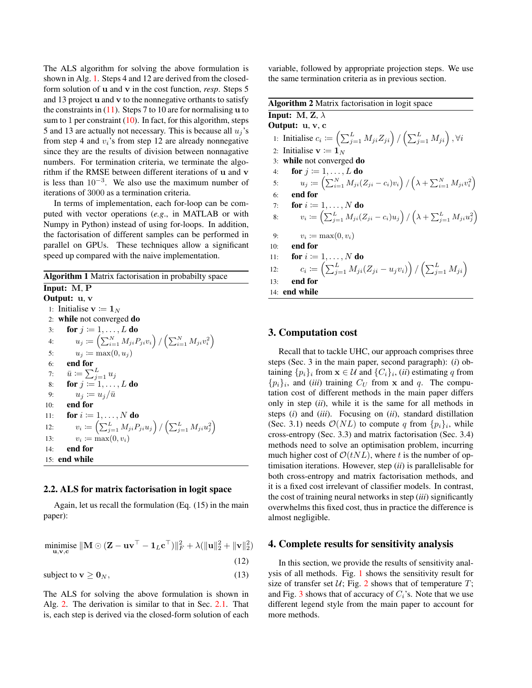The ALS algorithm for solving the above formulation is shown in Alg. [1.](#page-1-2) Steps 4 and 12 are derived from the closedform solution of u and v in the cost function, *resp*. Steps 5 and 13 project u and v to the nonnegative orthants to satisfy the constraints in  $(11)$ . Steps 7 to 10 are for normalising u to sum to 1 per constraint  $(10)$ . In fact, for this algorithm, steps 5 and 13 are actually not necessary. This is because all  $u_i$ 's from step 4 and  $v_i$ 's from step 12 are already nonnegative since they are the results of division between nonnagative numbers. For termination criteria, we terminate the algorithm if the RMSE between different iterations of u and v is less than  $10^{-3}$ . We also use the maximum number of iterations of 3000 as a termination criteria.

In terms of implementation, each for-loop can be computed with vector operations (*e.g*., in MATLAB or with Numpy in Python) instead of using for-loops. In addition, the factorisation of different samples can be performed in parallel on GPUs. These techniques allow a significant speed up compared with the naive implementation.

<span id="page-1-2"></span>Algorithm 1 Matrix factorisation in probabilty space Input: M, P Output: u, v 1: Initialise  $\mathbf{v} := \mathbf{1}_N$ 2: while not converged do 3: for  $j \coloneqq 1, \ldots, L$  do 4:  $u_j \coloneqq \left( \sum_{i=1}^N M_{ji} P_{ji} v_i \right) / \left( \sum_{i=1}^N M_{ji} v_i^2 \right)$ 5:  $u_j \coloneqq \max(0, u_j)$ 6: end for 7:  $\bar{u} := \sum_{j=1}^{L} u_j$ 8: **for**  $j \coloneqq 1, \ldots, L$  do 9:  $u_j \coloneqq u_j/\bar{u}$ 10: end for 11: for  $i \coloneqq 1, \ldots, N$  do 12:  $v_i \coloneqq \left( \sum_{j=1}^{L} M_{ji} P_{ji} u_j \right) / \left( \sum_{j=1}^{L} M_{ji} u_j^2 \right)$ 13:  $v_i := \max(0, v_i)$ 14: end for 15: end while

#### 2.2. ALS for matrix factorisation in logit space

Again, let us recall the formulation (Eq. (15) in the main paper):

 $\mathop{\mathrm{minimize}}\limits_{\mathbf{u},\mathbf{v},\mathbf{c}}\|\mathbf{M}\odot(\mathbf{Z}-\mathbf{u}\mathbf{v}^\top-\mathbf{1}_L\mathbf{c}^\top)\|_F^2+\lambda(\|\mathbf{u}\|_2^2+\|\mathbf{v}\|_2^2)$ (12)

subject to  $\mathbf{v} \ge \mathbf{0}_N$ , (13)

The ALS for solving the above formulation is shown in Alg. [2.](#page-1-3) The derivation is similar to that in Sec. [2.1.](#page-0-6) That is, each step is derived via the closed-form solution of each

variable, followed by appropriate projection steps. We use the same termination criteria as in previous section.

<span id="page-1-3"></span>

|     | <b>Algorithm 2</b> Matrix factorisation in logit space                                                                  |
|-----|-------------------------------------------------------------------------------------------------------------------------|
|     | Input: M, Z, $\lambda$                                                                                                  |
|     | Output: u, v, c                                                                                                         |
|     | 1: Initialise $c_i := \left(\sum_{j=1}^{L} M_{ji} Z_{ji}\right) / \left(\sum_{j=1}^{L} M_{ji}\right), \forall i$        |
|     | 2: Initialise $\mathbf{v} \coloneqq \mathbf{1}_N$                                                                       |
|     | 3: while not converged do                                                                                               |
| 4:  | for $j \coloneqq 1, \ldots, L$ do                                                                                       |
| 5:  | $u_j \coloneqq \left(\sum_{i=1}^N M_{ji}(Z_{ji} - c_i)v_i\right)/\left(\lambda + \sum_{i=1}^N M_{ji}v_i^2\right)$       |
| 6:  | end for                                                                                                                 |
| 7:  | for $i := 1, \ldots, N$ do                                                                                              |
| 8:  | $v_i := \left( \sum_{j=1}^{L} M_{ji} (Z_{ji} - c_i) u_j \right) / \left( \lambda + \sum_{j=1}^{L} M_{ji} u_j^2 \right)$ |
| 9:  | $v_i \coloneqq \max(0, v_i)$                                                                                            |
| 10: | end for                                                                                                                 |
| 11: | for $i \coloneqq 1, \ldots, N$ do                                                                                       |
| 12: | $c_i := (\sum_{j=1}^{L} M_{ji}(Z_{ji} - u_j v_i)) / (\sum_{j=1}^{L} M_{ji})$                                            |
| 13: | end for                                                                                                                 |
|     | 14: end while                                                                                                           |

#### <span id="page-1-0"></span>3. Computation cost

Recall that to tackle UHC, our approach comprises three steps (Sec. 3 in the main paper, second paragraph): (*i*) obtaining  $\{p_i\}_i$  from  $\mathbf{x} \in \mathcal{U}$  and  $\{C_i\}_i$ , (*ii*) estimating q from  $\{p_i\}_i$ , and *(iii)* training  $C_U$  from x and q. The computation cost of different methods in the main paper differs only in step (*ii*), while it is the same for all methods in steps (*i*) and (*iii*). Focusing on (*ii*), standard distillation (Sec. 3.1) needs  $\mathcal{O}(NL)$  to compute q from  $\{p_i\}_i$ , while cross-entropy (Sec. 3.3) and matrix factorisation (Sec. 3.4) methods need to solve an optimisation problem, incurring much higher cost of  $\mathcal{O}(tNL)$ , where t is the number of optimisation iterations. However, step (*ii*) is parallelisable for both cross-entropy and matrix factorisation methods, and it is a fixed cost irrelevant of classifier models. In contrast, the cost of training neural networks in step (*iii*) significantly overwhelms this fixed cost, thus in practice the difference is almost negligible.

#### <span id="page-1-1"></span>4. Complete results for sensitivity analysis

In this section, we provide the results of sensitivity analysis of all methods. Fig. [1](#page-2-2) shows the sensitivity result for size of transfer set  $U$ ; Fig. [2](#page-2-3) shows that of temperature  $T$ ; and Fig. [3](#page-2-4) shows that of accuracy of  $C_i$ 's. Note that we use different legend style from the main paper to account for more methods.